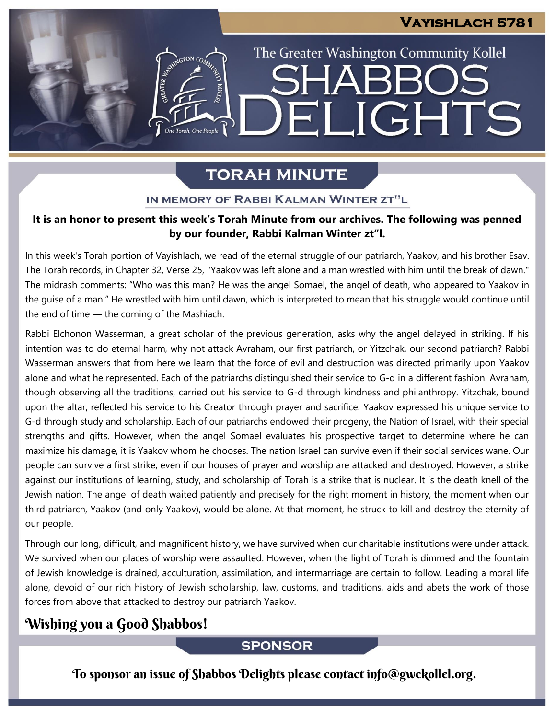The Greater Washington Community Kollel

ELIGHTS

SHARR

## **TORAH MINUTE**

ESTER AND COMPOSITION COMP

One Torah, One People

#### IN MEMORY OF RABBI KALMAN WINTER ZT"L

#### **It is an honor to present this week's Torah Minute from our archives. The following was penned by our founder, Rabbi Kalman Winter zt"l.**

In this week's Torah portion of Vayishlach, we read of the eternal struggle of our patriarch, Yaakov, and his brother Esav. The Torah records, in Chapter 32, Verse 25, "Yaakov was left alone and a man wrestled with him until the break of dawn." The midrash comments: "Who was this man? He was the angel Somael, the angel of death, who appeared to Yaakov in the guise of a man." He wrestled with him until dawn, which is interpreted to mean that his struggle would continue until the end of time — the coming of the Mashiach.

Rabbi Elchonon Wasserman, a great scholar of the previous generation, asks why the angel delayed in striking. If his intention was to do eternal harm, why not attack Avraham, our first patriarch, or Yitzchak, our second patriarch? Rabbi Wasserman answers that from here we learn that the force of evil and destruction was directed primarily upon Yaakov alone and what he represented. Each of the patriarchs distinguished their service to G-d in a different fashion. Avraham, though observing all the traditions, carried out his service to G-d through kindness and philanthropy. Yitzchak, bound upon the altar, reflected his service to his Creator through prayer and sacrifice. Yaakov expressed his unique service to G-d through study and scholarship. Each of our patriarchs endowed their progeny, the Nation of Israel, with their special strengths and gifts. However, when the angel Somael evaluates his prospective target to determine where he can maximize his damage, it is Yaakov whom he chooses. The nation Israel can survive even if their social services wane. Our people can survive a first strike, even if our houses of prayer and worship are attacked and destroyed. However, a strike against our institutions of learning, study, and scholarship of Torah is a strike that is nuclear. It is the death knell of the Jewish nation. The angel of death waited patiently and precisely for the right moment in history, the moment when our third patriarch, Yaakov (and only Yaakov), would be alone. At that moment, he struck to kill and destroy the eternity of our people.

Through our long, difficult, and magnificent history, we have survived when our charitable institutions were under attack. We survived when our places of worship were assaulted. However, when the light of Torah is dimmed and the fountain of Jewish knowledge is drained, acculturation, assimilation, and intermarriage are certain to follow. Leading a moral life alone, devoid of our rich history of Jewish scholarship, law, customs, and traditions, aids and abets the work of those forces from above that attacked to destroy our patriarch Yaakov.

## Wishing you a Good Shabbos!

### **SPONSOR**

To sponsor an issue of Shabbos Delights please contact info@gwckollel.org.